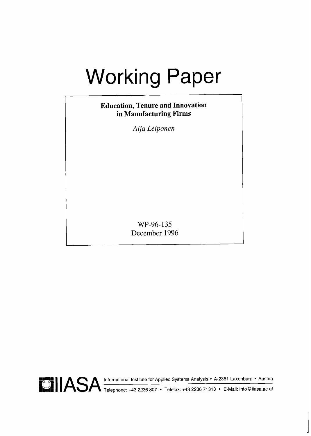# Working Paper

## **Education, Tenure and Innovation in Manufacturing Firms**

*Aija Leiponen* 

WP-96-135 December 1996

**Ff!** I **1** ASA International Institute for Applied Systems Analysis A-2361 Laxenburg Austria **b.;:** Telephone: +43 2236 807 Telefax: +43 2236 71313 E-Mail: info@iiasa.ac.at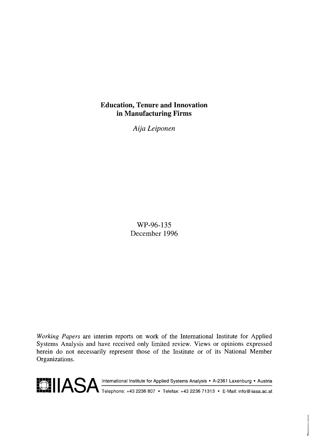## **Education, Tenure and Innovation in Manufacturing Firms**

*Aija Leiponen* 

WP-96-135 December 1996

Working Papers are interim reports on work of the International Institute for Applied Systems Analysis and have received only limited review. Views or opinions expressed herein do not necessarily represent those of the Institute or of its National Member Organizations.

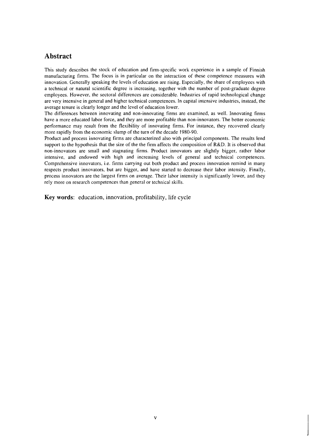## **Abstract**

This study describes the stock of education and firm-specific work experience in a sample of Finnish manufacturing firms. The focus is in particular on the interaction of these competence measures with innovation. Generally speaking the levels of education are rising. Especially, the share of employees with a technical or natural scientific degree is increasing, together with the number of post-graduate degree employees. However, the sectoral differences are considerable. Industries of rapid technological change are very intensive in general and higher technical competences. In capital intensive industries, instead, the average tenure is clearly longer and the level of education lower.

The differences between innovating and non-innovating firms are examined, as well. Innovating firms have a more educated labor force, and they are more profitable than non-innovators. The better economic performance may result from the flexibility of innovating firms. For instance, they recovered clearly more rapidly from the economic slump of the turn of the decade 1980-90.

Product and process innovating firms are characterized also with principal components. The results lend support to the hypothesis that the size of the the firm affects the composition of R&D. It is observed that non-innovators are small and stagnating firms. Product innovators are slightly bigger, rather labor intensive, and endowed with high and increasing levels of general and technical competences. Comprehensive innovators, i.e. firms carrying out both product and process innovation remind in many respects product innovators, but are bigger, and have started to decrease their labor intensity. Finally, process innovators are the largest firms on average. Their labor intensity is significantly lower, and they rely more on research competences than general or technical skills.

**Key words:** education, innovation, profitability, life cycle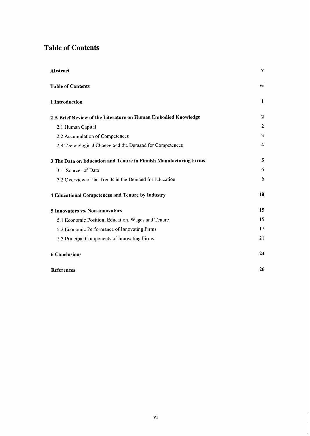## **Table of Contents**

| Abstract                                                          | v            |
|-------------------------------------------------------------------|--------------|
| <b>Table of Contents</b>                                          | vi           |
| 1 Introduction                                                    | $\mathbf{1}$ |
| 2 A Brief Review of the Literature on Human Embodied Knowledge    | 2            |
| 2.1 Human Capital                                                 | 2            |
| 2.2 Accumulation of Competences                                   | 3            |
| 2.3 Technological Change and the Demand for Competences           | 4            |
| 3 The Data on Education and Tenure in Finnish Manufacturing Firms | 5            |
| 3.1 Sources of Data                                               | 6            |
| 3.2 Overview of the Trends in the Demand for Education            | 6            |
| 4 Educational Competences and Tenure by Industry                  | 10           |
| 5 Innovators vs. Non-innovators                                   | 15           |
| 5.1 Economic Position, Education, Wages and Tenure                | 15           |
| 5.2 Economic Performance of Innovating Firms                      | 17           |
| 5.3 Principal Components of Innovating Firms                      | 21           |
| <b>6 Conclusions</b>                                              | 24           |
| <b>References</b>                                                 | 26           |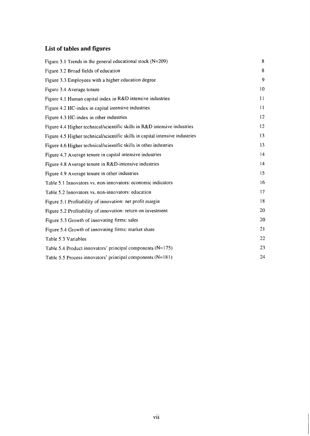## **List of tables and figures**

| Figure 3.1 Trends in the general educational stock $(N=209)$                  | 8  |
|-------------------------------------------------------------------------------|----|
| Figure 3.2 Broad fields of education                                          | 8  |
| Figure 3.3 Employees with a higher education degree                           | 9  |
| Figure 3.4 Average tenure                                                     | 10 |
| Figure 4.1 Human capital index in R&D intensive industries                    | 11 |
| Figure 4.2 HC-index in capital intensive industries                           | 11 |
| Figure 4.3 HC-index in other industries                                       | 12 |
| Figure 4.4 Higher technical/scientific skills in R&D intensive industries     | 12 |
| Figure 4.5 Higher technical/scientific skills in capital intensive industries | 13 |
| Figure 4.6 Higher technical/scientific skills in other industries             | 13 |
| Figure 4.7 Average tenure in capital intensive industries                     | 14 |
| Figure 4.8 Average tenure in R&D-intensive industries                         | 14 |
| Figure 4.9 Average tenure in other industries                                 | 15 |
| Table 5.1 Innovators vs. non-innovators: economic indicators                  | 16 |
| Table 5.2 Innovators vs. non-innovators: education                            | 17 |
| Figure 5.1 Profitability of innovation: net profit margin                     | 18 |
| Figure 5.2 Profitability of innovation: return on investment                  | 20 |
| Figure 5.3 Growth of innovating firms: sales                                  | 20 |
| Figure 5.4 Growth of innovating firms: market share                           | 21 |
| Table 5.3 Variables                                                           | 22 |
| Table 5.4 Product innovators' principal components $(N=175)$                  | 23 |
| Table 5.5 Process innovators' principal components (N=181)                    | 24 |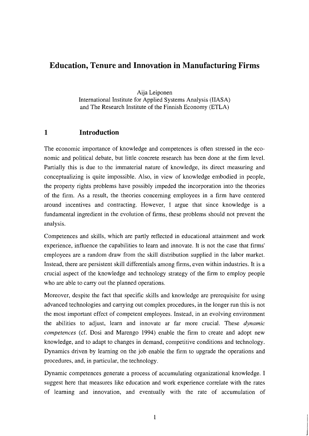## **Education, Tenure and Innovation in Manufacturing Firms**

Aija Leiponen International Institute for Applied Systems Analysis (IIASA) and The Research Institute of the Finnish Economy (ETLA)

## **1 Introduction**

The economic importance of knowledge and competences is often stressed in the economic and political debate, but little concrete research has been done at the firm level. Partially this is due to the immaterial nature of knowledge, its direct measuring and conceptualizing is quite impossible. Also, in view of knowledge embodied in people, the property rights problems have possibly impeded the incorporation into the theories of the firm. As a result, the theories concerning employees in a firm have centered around incentives and contracting. However, I argue that since knowledge is a fundamental ingredient in the evolution of firms, these problems should not prevent the analysis.

Competences and skills, which are partly reflected in educational attainment and work experience, influence the capabilities to learn and innovate. It is not the case that firms' employees are a random draw from the skill distribution supplied in the labor market. Instead, there are persistent skill differentials among firms, even within industries. It is a crucial aspect of the knowledge and technology strategy of the firm to employ people who are able to carry out the planned operations.

Moreover, despite the fact that specific skills and knowledge are prerequisite for using advanced technologies and carrying out complex procedures, in the longer run this is not the most important effect of competent employees. Instead, in an evolving environment the abilities to adjust, learn and innovate ar far more crucial. These *dynamic competences* (cf. Dosi and Marengo 1994) enable the firm to create and adopt new knowledge, and to adapt to changes in demand, competitive conditions and technology. Dynamics driven by learning on the job enable the firm to upgrade the operations and procedures, and, in particular, the technology.

Dynamic competences generate a process of accumulating organizational knowledge. I suggest here that measures like education and work experience correlate with the rates of learning and innovation, and eventually with the rate of accumulation of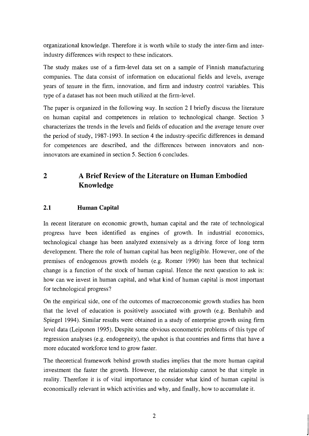organizational knowledge. Therefore it is worth while to study the inter-firm and interindustry differences with respect to these indicators.

The study makes use of a firm-level data set on a sample of Finnish manufacturing companies. The data consist of information on educational fields and levels, average years of tenure in the firm, innovation, and firm and industry control variables. This type of a dataset has not been much utilized at the firm-level.

The paper is organized in the following way. In section 2 I briefly discuss the literature on human capital and competences in relation to technological change. Section 3 characterizes the trends in the levels and fields of education and the average tenure over the period of study, 1987-1993. In section 4 the industry-specific differences in demand for competences are described, and the differences between innovators and noninnovators are examined in section 5. Section 6 concludes.

## **2 A Brief Review of the Literature on Human Embodied Knowledge**

#### **2.1 Human Capital**

In recent literature on economic growth, human capital and the rate of technological progress have been identified as engines of growth. In industrial economics, technological change has been analyzed extensively as a driving force of long term development. There the role of human capital has been negligible. However, one of the premises of endogenous growth models (e.g. Romer 1990) has been that technical change is a function of the stock of human capital. Hence the next question to ask is: how can we invest in human capital, and what kind of human capital is most important for technological progress?

On the empirical side, one of the outcomes of macroeconomic growth studies has been that the level of education is positively associated with growth (e.g. Benhabib and Spiegel 1994). Similar results were obtained in a study of enterprise growth using firm level data (Leiponen 1995). Despite some obvious econometric problems of this type of regression analyses (e.g. endogeneity), the upshot is that countries and firms that have a more educated workforce tend to grow faster.

The theoretical framework behind growth studies implies that the more human capital investment the faster the growth. However, the relationship cannot be that simple in reality. Therefore it is of vital importance to consider what kind of human capital is economically relevant in which activities and why, and finally, how to accumulate it.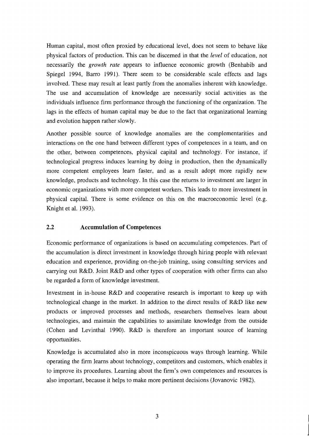Human capital, most often proxied by educational level, does not seem to behave like physical factors of production. This can be discerned in that the *level* of education, not necessarily the *growth rate* appears to influence economic growth (Benhabib and Spiegel 1994, Barro 1991). There seem to be considerable scale effects and lags involved. These may result at least partly from the anomalies inherent with knowledge. The use and accumulation of knowledge are necessarily social activities as the individuals influence firm performance through the functioning of the organization. The lags in the effects of human capital may be due to the fact that organizational learning and evolution happen rather slowly.

Another possible source of knowledge anomalies are the complementarities and interactions on the one hand between different types of competences in a team, and on the other, between competences, physical capital and technology. For instance, if technological progress induces learning by doing in production, then the dynamically more competent employees learn faster, and as a result adopt more rapidly new knowledge, products and technology. In this case the returns to investment are larger in economic organizations with more competent workers. This leads to more investment in physical capital. There is some evidence on this on the macroeconomic level (e.g. Knight et al. 1993).

## **2.2 Accumulation of Competences**

Economic performance of organizations is based on accumulating competences. Part of the accumulation is direct investment in knowledge through hiring people with relevant education and experience, providing on-the-job training, using consulting services and carrying out R&D. Joint R&D and other types of cooperation with other firms can also be regarded a form of knowledge investment.

Investment in in-house R&D and cooperative research is important to keep up with technological change in the market. In addition to the direct results of R&D like new products or improved processes and methods, researchers themselves learn about technologies, and maintain the capabilities to assimilate knowledge from the outside (Cohen and Levinthal 1990). R&D is therefore an important source of learning opportunities.

Knowledge is accumulated also in more inconspicuous ways through learning. While operating the firm learns about technology, competitors and customers, which enables it to improve its procedures. Learning about the firm's own competences and resources is also important, because it helps to make more pertinent decisions (Jovanovic 1982).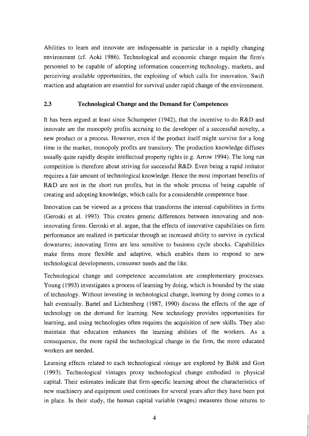Abilities to learn and innovate are indispensable in particular in a rapidly changing environment (cf. Aoki 1986). Technological and economic change require the firm's personnel to be capable of adopting information concerning technology, markets, and perceiving available opportunities, the exploiting of which calls for innovation. Swift reaction and adaptation are essential for survival under rapid change of the environment.

#### **2.3 Technological Change and the Demand for Competences**

It has been argued at least since Schumpeter (1942), that the incentive to do R&D and innovate are the monopoly profits accruing to the developer of a successful novelty, a new product or a process. However, even if the product itself might survive for a long time in the market, monopoly profits are transitory. The production knowledge diffuses usually quite rapidly despite intellectual property rights (e.g. Arrow 1994). The long run competition is therefore about striving for successful R&D. Even being a rapid imitator requires a fair amount of technological knowledge. Hence the most important benefits of R&D are not in the short run profits, but in the whole process of being capable of creating and adopting knowledge, which calls for a considerable competence base.

Innovation can be viewed as a process that transforms the internal capabilities in firms (Geroski et al. 1993). This creates generic differences between innovating and noninnovating firms. Geroski et al. argue, that the effects of innovative capabilities on firm performance are realized in particular through an increased ability to survive in cyclical downturns; innovating firms are less sensitive to business cycle shocks. Capabilities make firms more flexible and adaptive, which enables them to respond to new technological developments, consumer needs and the like.

Technological change and competence accumulation are complementary processes. Young (1993) investigates a process of learning by doing, which is bounded by the state of technology. Without investing in technological change, learning by doing comes to a halt eventually. Bartel and Lichtenberg (1987, 1990) discuss the effects of the age of technology on the demand for learning. New technology provides opportunities for learning, and using technologies often requires the acquisition of new skills. They also maintain that education enhances the learning abilities of the workers. As a consequence, the more rapid the technological change in the firm, the more educated workers are needed.

Learning effects related to each technological **vintage** are explored by Bahk and Gort (1993). Technological vintages proxy technological change embodied in physical capital. Their estimates indicate that firm-specific learning about the characteristics of new machinery and equipment used continues for several years after they have been put in place. In their study, the human capital variable (wages) measures those returns to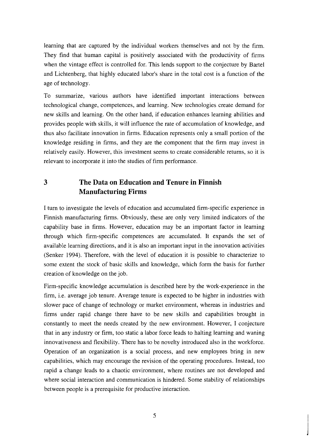learning that are captured by the individual workers themselves and not by the firm. They find that human capital is positively associated with the productivity of firms when the vintage effect is controlled for. This lends support to the conjecture by Bartel and Lichtenberg, that highly educated labor's share in the total cost is a function of the age of technology.

To summarize, various authors have identified important interactions between technological change, competences, and learning. New technologies create demand for new skills and learning. On the other hand, if education enhances learning abilities and provides people with skills, it will influence the rate of accumulation of knowledge, and thus also facilitate innovation in firms. Education represents only a small portion of the knowledge residing in firms, and they are the component that the firm may invest in relatively easily. However, this investment seems to create considerable returns, so it is relevant to incorporate it into the studies of firm performance.

## **3 The Data on Education and Tenure in Finnish Manufacturing Firms**

I turn to investigate the levels of education and accumulated firm-specific experience in Finnish manufacturing firms. Obviously, these are only very limited indicators of the capability base in firms. However, education may be an important factor in learning through which firm-specific competences are accumulated. It expands the set of available learning directions, and it is also an important input in the innovation activities (Senker 1994). Therefore, with the level of education it is possible to characterize to some extent the stock of basic skills and knowledge, which form the basis for further creation of knowledge on the job.

Firm-specific knowledge accumulation is described here by the work-experience in the firm, i.e. average job tenure. Average tenure is expected to be higher in industries with slower pace of change of technology or market environment, whereas in industries and firms under rapid change there have to be new skills and capabilities brought in constantly to meet the needs created by the new environment. However, I conjecture that in any industry or firm, too static a labor force leads to halting learning and waning innovativeness and flexibility. There has to be novelty introduced also in the workforce. Operation of an organization is a social process, and new employees bring in new capabilities, which may encourage the revision of the operating procedures. Instead, too rapid a change leads to a chaotic environment, where routines are not developed and where social interaction and communication is hindered. Some stability of relationships between people is a prerequisite for productive interaction.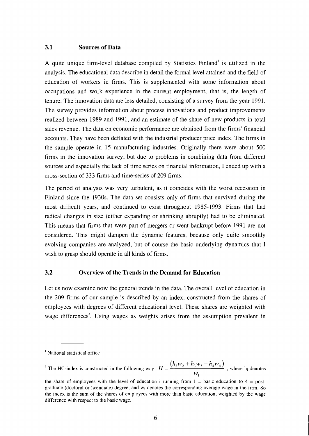#### **3.1 Sources of Data**

A quite unique firm-level database compiled by Statistics Finland' is utilized in the analysis. The educational data describe in detail the formal level attained and the field of education of workers in firms. This is supplemented with some information about occupations and work experience in the current employment, that is, the length of tenure. The innovation data are less detailed, consisting of a survey from the year 1991. The survey provides information about process innovations and product improvements realized between 1989 and 1991, and an estimate of the share of new products in total sales revenue. The data on economic performance are obtained from the firms' financial accounts. They have been deflated with the industrial producer price index. The firms in the sample operate in 15 manufacturing industries. Originally there were about 500 firms in the innovation survey, but due to problems in combining data from different sources and especially the lack of time series on financial information, I ended up with a cross-section of 333 firms and time-series of 209 firms.

The period of analysis was very turbulent, as it coincides with the worst recession in Finland since the 1930s. The data set consists only of firms that survived during the most difficult years, and continued to exist throughout 1985-1993. Firms that had radical changes in size (either expanding or shrinking abruptly) had to be eliminated. This means that firms that were part of mergers or went bankrupt before 1991 are not considered. This might dampen the dynamic features, because only quite smoothly evolving companies are analyzed, but of course the basic underlying dynamics that I wish to grasp should operate in all kinds of firms.

#### **3.2 Overview of the Trends in the Demand for Education**

Let us now examine now the general trends in the data. The overall level of education in the 209 firms of our sample is described by an index, constructed from the shares of employees with degrees of different educational level. These shares are weighted with wage differences<sup>2</sup>. Using wages as weights arises from the assumption prevalent in

<sup>&</sup>lt;sup>1</sup> National statistical office

The HC-index is constructed in the following way:  $H = \frac{(h_2 w_2 + h_3 w_3 + h_4 w_4)}{h_2^2 + h_3^2}$ , where h<sub>i</sub> denotes  $W_1$ 

the share of employees with the level of education i running from  $1 =$  basic education to  $4 =$  postgraduate (doctoral or licenciate) degree, and  $w_i$  denotes the corresponding average wage in the firm. So the index is the sum of the shares of employees with more than basic education, weighted by the wage difference with respect to the basic wage.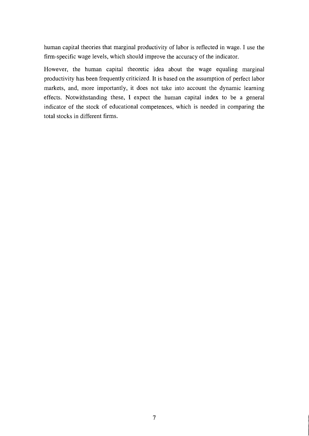human capital theories that marginal productivity of labor is reflected in wage. I use the firm-specific wage levels, which should improve the accuracy of the indicator.

However, the human capital theoretic idea about the wage equaling marginal productivity has been frequently criticized. It is based on the assumption of perfect labor markets, and, more importantly, it does not take into account the dynamic learning effects. Notwithstanding these, I expect the human capital index to be a general indicator of the stock of educational competences, which is needed in comparing the total stocks in different firms.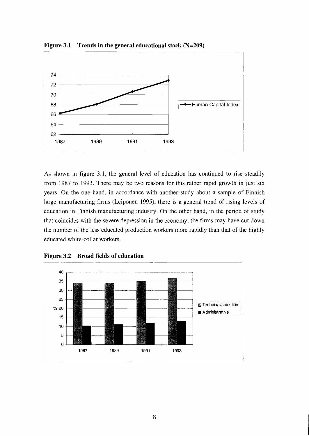

As shown in figure 3.1, the general level of education has continued to rise steadily from 1987 to 1993. There may be two reasons for this rather rapid growth in just six years. On the one hand, in accordance with another study about a sample of Finnish large manufacturing firms (Leiponen 1995), there is a general trend of rising levels of education in Finnish manufacturing industry. On the other hand, in the period of study that coincides with the severe depression in the economy, the firms may have cut down the number of the less educated production workers more rapidly than that of the highly educated white-collar workers.



**Figure** 3.2 **Broad fields of education**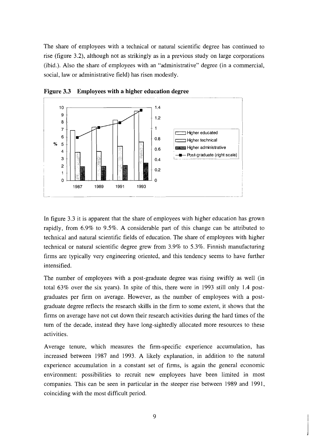The share of employees with a technical or natural scientific degree has continued to rise (figure 3.2), although not as strikingly as in a previous study on large corporations (ibid.). Also the share of employees with an "administrative" degree (in a commercial, social, law or administrative field) has risen modestly.



**Figure 3.3 Employees with a higher education degree** 

In figure 3.3 it is apparent that the share of employees with higher education has grown rapidly, from 6.9% to 9.5%. A considerable part of this change can be attributed to technical and natural scientific fields of education. The share of employees with higher technical or natural scientific degree grew from 3.9% to 5.3%. Finnish manufacturing firms are typically very engineering oriented, and this tendency seems to have further intensified.

The number of employees with a post-graduate degree was rising swiftly as well (in total 63% over the six years). In spite of this, there were in 1993 still only 1.4 postgraduates per firm on average. However, as the number of employees with a postgraduate degree reflects the research skills in the firm to some extent, it shows that the firms on average have not cut down their research activities during the hard times of the turn of the decade, instead they have long-sightedly allocated more resources to these activities.

Average tenure, which measures the firm-specific experience accumulation, has increased between 1987 and 1993. A likely explanation, in addition to the natural experience accumulation in a constant set of firms, is again the general economic environment: possibilities to recruit new employees have been limited in most companies. This can be seen in particular in the steeper rise between 1989 and 1991, coinciding with the most difficult period.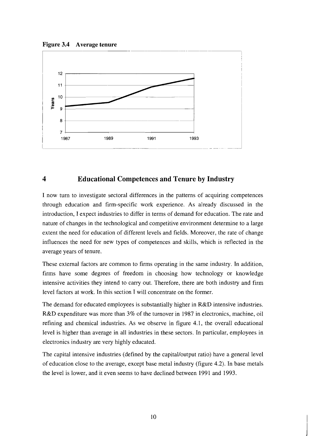**Figure 3.4 Average tenure** 



## **4 Educational Competences and Tenure by Industry**

I now turn to investigate sectoral differences in the patterns of acquiring competences through education and firm-specific work experience. As already discussed in the introduction, I expect industries to differ in terms of demand for education. The rate and nature of changes in the technological and competitive environment determine to a large extent the need for education of different levels and fields. Moreover, the rate of change influences the need for new types of competences and skills, which is reflected in the average years of tenure.

These external factors are common to firms operating in the same industry. In addition, firms have some degrees of freedom in choosing how technology or knowledge intensive activities they intend to carry out. Therefore, there are both industry and firm level factors at work. In this section I will concentrate on the former.

The demand for educated employees is substantially higher in R&D intensive industries. R&D expenditure was more than 3% of the turnover in 1987 in electronics, machine, oil refining and chemical industries. As we observe in figure 4.1, the overall educational level is higher than average in all industries in these sectors. In particular, employees in electronics industry are very highly educated.

The capital intensive industries (defined by the capital/output ratio) have a general level of education close to the average, except base metal industry (figure 4.2). In base metals the level is lower, and it even seems to have declined between 1991 and 1993.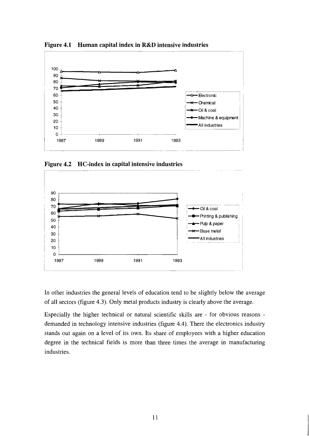

**Figure 4.1 Human capital index in R&D intensive industries** 

Figure 4.2 HC-index in capital intensive industries



In other industries the general levels of education tend to be slightly below the average of all sectors (figure 4.3). Only metal products industry is clearly above the average.

Especially the higher technical or natural scientific skills are - for obvious reasons demanded in technology intensive industries (figure 4.4). There the electronics industry stands out again on a level of its own. Its share of employees with a higher education degree in the technical fields is more than three times the average in manufacturing industries.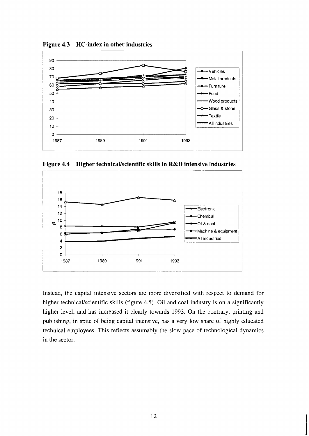

**Figure 4.3 HC-index in other industries** 

**Figure 4.4 Higher technicaVscientific skills in R&D intensive industries** 



Instead, the capital intensive sectors are more diversified with respect to demand for higher technical/scientific skills (figure 4.5). Oil and coal industry is on a significantly higher level, and has increased it clearly towards 1993. On the contrary, printing and publishing, in spite of being capital intensive, has a very low share of highly educated technical employees. This reflects assumably the slow pace of technological dynamics in the sector.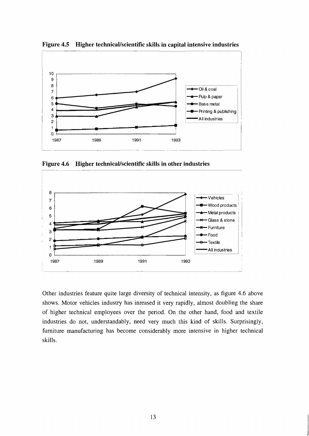

**Figure 4.5 Higher technicaVscientific skills in capital intensive industries** 

Figure 4.6 Higher technical/scientific skills in other industries



Other industries feature quite large diversity of technical intensity, as figure 4.6 above shows. Motor vehicles industry has inreased it very rapidly, almost doubling the share of higher technical employees over the period. On the other hand, food and textile industries do not, understandably, need very much this kind of skills. Surprisingly, furniture manufacturing has become considerably more intensive in higher technical skills.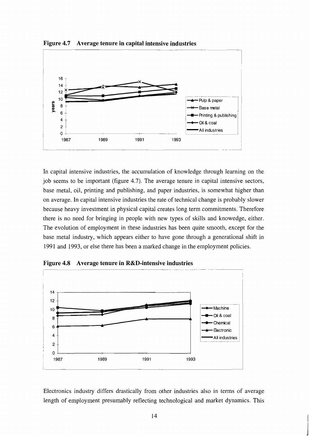

Figure 4.7 Average tenure in capital intensive industries

In capital intensive industries, the accumulation of knowledge through learning on the job seems to be important (figure 4.7). The average tenure in capital intensive sectors, base metal, oil, printing and publishing, and paper industries, is somewhat higher than on average. In capital intensive industries the rate of technical change is probably slower because heavy investment in physical capital creates long term commitments. Therefore there is no need for bringing in people with new types of skills and knowedge, either. The evolution of employment in these industries has been quite smooth, except for the base metal industry, which appears either to have gone through a generational shift in 1991 and 1993, or else there has been a marked change in the employment policies.



**Figure 4.8 Average tenure in R&D-intensive industries** 

Electronics industry differs drastically from other industries also in terms of average length of employment presumably reflecting technological and market dynamics. This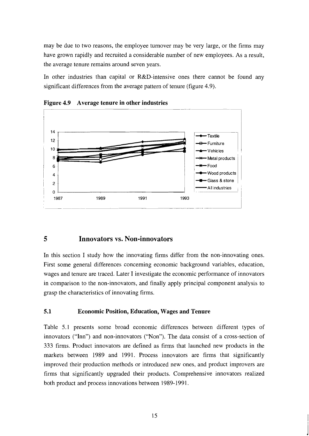may be due to two reasons, the employee turnover may be very large, or the firms may have grown rapidly and recruited a considerable number of new employees. As a result, the average tenure remains around seven years.

In other industries than capital or R&D-intensive ones there cannot be found any significant differences from the average pattern of tenure (figure 4.9).



**Figure 4.9 Average tenure in other industries** 

## **5 Innovators vs. Non-innovators**

In this section I study how the innovating firms differ from the non-innovating ones. First some general differences concerning economic background variables, education, wages and tenure are traced. Later I investigate the economic performance of innovators in comparison to the non-innovators, and finally apply principal component analysis to grasp the characteristics of innovating firms.

## **5.1 Economic Position, Education, Wages and Tenure**

Table 5.1 presents some broad economic differences between different types of innovators ("Inn") and non-innovators ("Non"). The data consist of a cross-section of 333 firms. Product innovators are defined as firms that launched new products in the markets between 1989 and 1991. Process innovators are firms that significantly improved their production methods or introduced new ones, and product improvers are firms that significantly upgraded their products. Comprehensive innovators realized both product and process innovations between 1989- 1991.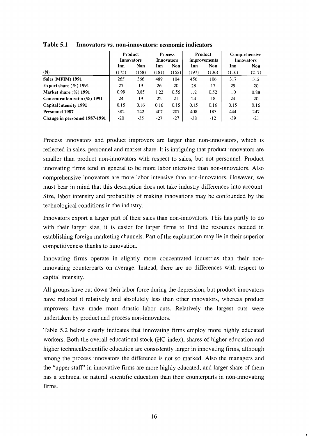|                                  | Product<br><b>Innovators</b> |       | <b>Process</b><br><b>Innovators</b> |       | Product<br>improvements |       | Comprehensive<br><b>Innovators</b> |       |
|----------------------------------|------------------------------|-------|-------------------------------------|-------|-------------------------|-------|------------------------------------|-------|
|                                  | Inn                          | Non   |                                     | Non   | Inn                     | Non   | Inn                                | Non   |
| (N)                              | (175)                        | (158) | (181)                               | (152) | (197)                   | (136) | (116)                              | (217) |
| Sales (MFIM) 1991                | 265                          | 366   | 489                                 | 104   | 456                     | 106   | 317                                | 312   |
| Export share $(\%)$ 1991         | 27                           | 19    | 26                                  | 20    | 28                      | 17    | 29                                 | 20    |
| Market share $(\%)$ 1991         | 0.99                         | 0.85  | 1.22                                | 0.56  | 1.2                     | 0.52  | 1.0                                | 0.88  |
| Concentration ratio $(\%$ ) 1991 | 24                           | 19    | 22                                  | 21    | 24                      | 18    | 24                                 | 20    |
| <b>Capital intensity 1991</b>    | 0.15                         | 0.16  | 0.16                                | 0.15  | 0.15                    | 0.16  | 0.15                               | 0.16  |
| <b>Personnel 1987</b>            | 382                          | 242   | 407                                 | 207   | 408                     | 183   | 444                                | 247   |
| Change in personnel 1987-1991    | $-20$                        | $-35$ | $-27$                               | $-27$ | $-38$                   | $-12$ | -39                                | $-21$ |

**Table 5.1 Innovators vs. non-innovators: economic indicators** 

Process innovators and product improvers are larger than non-innovators, which is reflected in sales, personnel and market share. It is intriguing that product innovators are smaller than product non-innovators with respect to sales, but not personnel. Product innovating firms tend in general to be more labor intensive than non-innovators. Also comprehensive innovators are more labor intensive than non-innovators. However, we must bear in mind that this description does not take industry differences into account. Size, labor intensity and probability of making innovations may be confounded by the technological conditions in the industry.

Innovators export a larger part of their sales than non-innovators. This has partly to do with their larger size, it is easier for larger firms to find the resources needed in establishing foreign marketing channels. Part of the explanation may lie in their superior competitiveness thanks to innovation.

Innovating firms operate in slightly more concentrated industries than their noninnovating counterparts on average. Instead, there are no differences with respect to capital intensity.

All groups have cut down their labor force during the depression, but product innovators have reduced it relatively and absolutely less than other innovators, whereas product improvers have made most drastic labor cuts. Relatively the largest cuts were undertaken by product and process non-innovators.

Table *5.2* below clearly indicates that innovating firms employ more highly educated workers. Both the overall educational stock (HC-index), shares of higher education and higher technical/scientific education are consistently larger in innovating firms, although among the process innovators the difference is not so marked. Also the managers and the "upper staff' in innovative firms are more highly educated, and larger share of them has a technical or natural scientific education than their counterparts in non-innovating firms.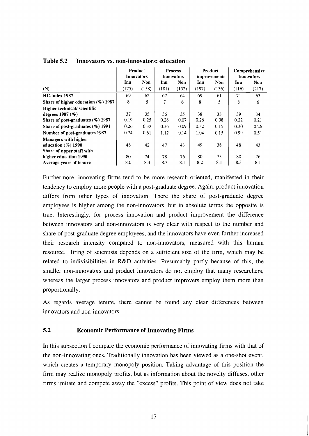|                                       | Product    |            | <b>Process</b> |            | Product      |            | Comprehensive     |            |
|---------------------------------------|------------|------------|----------------|------------|--------------|------------|-------------------|------------|
|                                       | Innovators |            | Innovators     |            | improvements |            | <b>Innovators</b> |            |
|                                       | Inn        | <b>Non</b> | Inn            | <b>Non</b> | Inn          | <b>Non</b> | Inn               | <b>Non</b> |
| (N)                                   | (175)      | (158)      | (181)          | (152)      | (197)        | (136)      | (116)             | (217)      |
| HC-index 1987                         | 69         | 62         | 67             | 64         | 69           | 61         | 71                | 63         |
| Share of higher education $(\%)$ 1987 | 8          | 5          | 7              | 6          | 8            | 5          | 8                 | 6          |
| Higher technical/scientific           |            |            |                |            |              |            |                   |            |
| degrees $1987 \, (\%)$                | 37         | 35         | 36             | 35         | 38           | 33         | 39                | 34         |
| Share of post-graduates $(\%)$ 1987   | 0.19       | 0.25       | 0.28           | 0.07       | 0.26         | 0.08       | 0.22              | 0.21       |
| Share of post-graduates $(\%)$ 1991   | 0.26       | 0.32       | 0.36           | 0.09       | 0.32         | 0.15       | 0.30              | 0.26       |
| Number of post-graduates 1987         | 0.74       | 0.61       | 1.12           | 0.14       | 1.04         | 0.15       | 0.99              | 0.51       |
| <b>Managers with higher</b>           |            |            |                |            |              |            |                   |            |
| education $(\%)$ 1990                 | 48         | 42         | 47             | 43         | 49           | 38         | 48                | 43         |
| Share of upper staff with             |            |            |                |            |              |            |                   |            |
| higher education 1990                 | 80         | 74         | 78             | 76         | 80           | 73         | 80                | 76         |
| Average years of tenure               | 8.0        | 8.3        | 8.3            | 81         | 8.2          | 8.1        | 8.3               | 8.1        |

**Table 5.2 Innovators vs. non-innovators: education** 

Furthermore, innovating firms tend to be more research oriented, manifested in their tendency to employ more people with a post-graduate degree. Again, product innovation differs from other types of innovation. There the share of post-graduate degree employees is higher among the non-innovators, but in absolute terms the opposite is true. Interestingly, for process innovation and product improvement the difference between innovators and non-innovators is very clear with respect to the number and share of post-graduate degree employees, and the innovators have even further increased their research intensity compared to non-innovators, measured with this human resource. Hiring of scientists depends on a sufficient size of the firm, which may be related to indivisibilities in R&D activities. Presumably partly because of this, the smaller non-innovators and product innovators do not employ that many researchers, whereas the larger process innovators and product improvers employ them more than proportionally.

As regards average tenure, there cannot be found any clear differences between innovators and non-innovators.

#### **5.2 Economic Performance of Innovating Firms**

In this subsection I compare the economic performance of innovating firms with that of the non-innovating ones. Traditionally innovation has been viewed as a one-shot event, which creates a temporary monopoly position. Taking advantage of this position the firm may realize monopoly profits, but as information about the novelty diffuses, other firms imitate and compete away the "excess" profits. This point of view does not take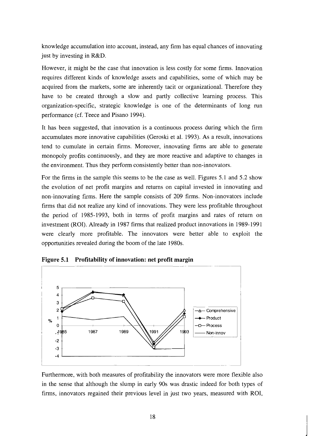knowledge accumulation into account, instead, any firm has equal chances of innovating just by investing in R&D.

However, it might be the case that innovation is less costly for some firms. Innovation requires different kinds of knowledge assets and capabilities, some of which may be acquired from the markets, some are inherently tacit or organizational. Therefore they have to be created through a slow and partly collective learning process. This organization-specific, strategic knowledge is one of the determinants of long run performance (cf. Teece and Pisano 1994).

It has been suggested, that innovation is a continuous process during which the firm accumulates more innovative capabilities (Geroski et al. 1993). As a result, innovations tend to cumulate in certain firms. Moreover, innovating firms are able to generate monopoly profits continuously, and they are more reactive and adaptive to changes in the environment. Thus they perform consistently better than non-innovators.

For the firms in the sample this seems to be the case as well. Figures 5.1 and 5.2 show the evolution of net profit margins and returns on capital invested in innovating and non-innovating firms. Here the sample consists of 209 firms. Non-innovators include firms that did not realize any kind of innovations. They were less profitable throughout the period of 1985-1993, both in terms of profit margins and rates of return on investment (ROI). Already in 1987 firms that realized product innovations in 1989- 199 1 were clearly more profitable. The innovators were better able to exploit the opportunities revealed during the boom of the late 1980s.<br> **Figure 5.1 Profitability of innovation: net profit margin** opportunities revealed during the boom of the late 1980s.



Furthermore, with both measures of profitability the innovators were more flexible also in the sense that although the slump in early 90s was drastic indeed for both types of firms, innovators regained their previous level in just two years, measured with ROI,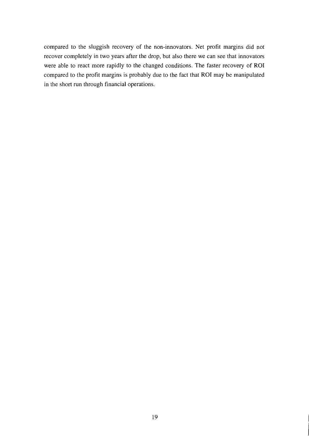compared to the sluggish recovery of the non-innovators. Net profit margins did not recover completely in two years after the drop, but also there we can see that innovators were able to react more rapidly to the changed conditions. The faster recovery of ROI compared to the profit margins is probably due to the fact that ROI may be manipulated in the short run through financial operations.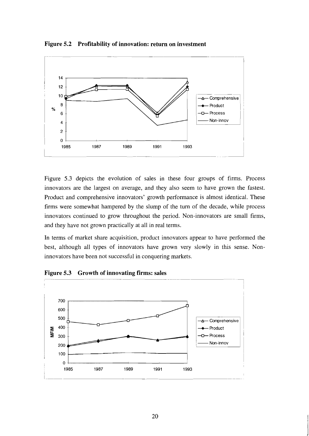

**Figure 5.2 Profitability of innovation: return on investment** 

Figure 5.3 depicts the evolution of sales in these four groups of firms. Process innovators are the largest on average, and they also seem to have grown the fastest. Product and comprehensive innovators' growth performance is almost identical. These firms were somewhat hampered by the slump of the turn of the decade, while process innovators continued to grow throughout the period. Non-innovators are small firms, and they have not grown practically at all in real terms.

In terms of market share acquisition, product innovators appear to have performed the best, although all types of innovators have grown very slowly in this sense. Noninnovators have been not successful in conquering markets.

**Figure 5.3 Growth of innovating firms: sales** 

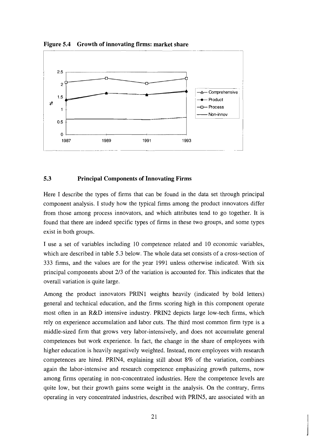

Figure 5.4 Growth of innovating firms: market share

#### **5.3 Principal Components of Innovating Firms**

Here I describe the types of firms that can be found in the data set through principal component analysis. I study how the typical firms among the product innovators differ from those among process innovators, and which attributes tend to go together. It is found that there are indeed specific types of firms in these two groups, and some types exist in both groups.

I use a set of variables including 10 competence related and 10 economic variables, which are described in table 5.3 below. The whole data set consists of a cross-section of 333 firms, and the values are for the year 1991 unless otherwise indicated. With six principal components about 213 of the variation is accounted for. This indicates that the overall variation is quite large.

Among the product innovators PRINl weights heavily (indicated by bold letters) general and technical education, and the firms scoring high in this component operate most often in an R&D intensive industry. PRIN2 depicts large low-tech firms, which rely on experience accumulation and labor cuts. The third most common firm type is a middle-sized firm that grows very labor-intensively, and does not accumulate general competences but work experience. In fact, the change in the share of employees with higher education is heavily negatively weighted. Instead, more employees with research competences are hired. PRIN4, explaining still about 8% of the variation, combines again the labor-intensive and research competence emphasizing growth patterns, now among firms operating in non-concentrated industries. Here the competence levels are quite low, but their growth gains some weight in the analysis. On the contrary, firms operating in very concentrated industries, described with PRIN5, are associated with an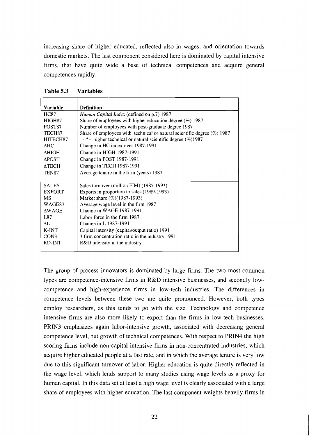increasing share of higher educated, reflected also in wages, and orientation towards domestic markets. The last component considered here is dominated by capital intensive firms, that have quite wide a base of technical competences and acquire general competences rapidly.

| Variable             | <b>Definition</b>                                                          |
|----------------------|----------------------------------------------------------------------------|
| <b>HC87</b>          | Human Capital Index (defined on p.7) 1987                                  |
| HIGH87               | Share of employees with higher education degree $(\%)$ 1987                |
| POST87               | Number of employees with post-graduate degree 1987                         |
| TECH <sub>87</sub>   | Share of employees with technical or natural scientific degree $(\%)$ 1987 |
| HITECH <sub>87</sub> | - " - higher technical or natural scientific degree (%)1987                |
| <b>AHC</b>           | Change in HC index over 1987-1991                                          |
| <b>AHIGH</b>         | Change in HIGH 1987-1991                                                   |
| <b>APOST</b>         | Change in POST 1987-1991                                                   |
| <b>ATECH</b>         | Change in TECH 1987-1991                                                   |
| TEN87                | Average tenure in the firm (years) 1987                                    |
|                      |                                                                            |
| <b>SALES</b>         | Sales turnover (million FIM) (1985-1993)                                   |
| <b>EXPORT</b>        | Exports in proportion to sales (1989-1993)                                 |
| <b>MS</b>            | Market share (%)(1987-1993)                                                |
| WAGE87               | Average wage level in the firm 1987                                        |
| <b>AWAGE</b>         | Change in WAGE 1987-1991                                                   |
| L87                  | Labor force in the firm 1987                                               |
| ΛL.                  | Change in L 1987-1991                                                      |
| K-INT                | Capital intensity (capital/output ratio) 1991                              |
| CON3                 | 3 firm concentration ratio in the industry 1991                            |
| RD-INT               | R&D intensity in the industry                                              |
|                      |                                                                            |

The group of process innovators is dominated by large firms. The two most common types are competence-intensive firms in R&D intensive businesses, and secondly lowcompetence and high-experience firms in low-tech industries. The differences in competence levels between these two are quite pronounced. However, both types employ researchers, as this tends to go with the size. Technology and competence intensive firms are also more likely to export than the firms in low-tech businesses. PRIN3 emphasizes again labor-intensive growth, associated with decreasing general competence level, but growth of technical competences. With respect to PRLN4 the high scoring firms include non-capital intensive firms in non-concentrated industries, which acquire higher educated people at a fast rate, and in which the average tenure is very low due to this significant turnover of labor. Higher education is quite directly reflected in the wage level, which lends support to many studies using wage levels as a proxy for human capital. In this data set at least a high wage level is clearly associated with a large share of employees with higher education. The last component weights heavily firms in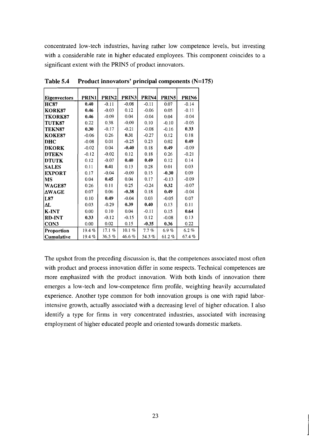concentrated low-tech industries, having rather low competence levels, but investing with a considerable rate in higher educated employees. This component coincides to a significant extent with the PRINS of product innovators.

| <b>Eigenvectors</b> | PRIN1   | PRIN2    | PRIN3     | PRIN4   | PRIN5    | PRIN6    |
|---------------------|---------|----------|-----------|---------|----------|----------|
| <b>HC87</b>         | 0.40    | $-0.11$  | $-0.08$   | $-0.11$ | 0.07     | $-0.14$  |
| KORK87              | 0.46    | $-0.03$  | 0.12      | $-0.06$ | 0.05     | $-0.11$  |
| TKORK87             | 0.46    | $-0.09$  | 0.04      | $-0.04$ | 0.04     | $-0.04$  |
| TUTK87              | 0.22    | 0.38     | $-0.09$   | 0.10    | $-0.10$  | $-0.05$  |
| TEKN87              | 0.30    | $-0.17$  | $-0.21$   | $-0.08$ | $-0.16$  | 0.33     |
| <b>KOKE87</b>       | $-0.06$ | 0.26     | 0.31      | $-0.27$ | 0.12     | 0.18     |
| DHC                 | $-0.08$ | 0.01     | $-0.25$   | 0.23    | 0.02     | 0.49     |
| <b>DKORK</b>        | $-0.02$ | 0.04     | $-0.40$   | 0.18    | 0.49     | $-0.09$  |
| <b>DTEKN</b>        | $-0.12$ | $-0.02$  | 0.12      | 0.18    | 0.26     | $-0.21$  |
| <b>DTUTK</b>        | 0.12    | $-0.07$  | 0.40      | 0.49    | 0.12     | 0.14     |
| <b>SALES</b>        | 0.11    | 0.41     | 0.13      | 0.28    | 0.01     | 0.03     |
| <b>EXPORT</b>       | 0.17    | $-0.04$  | $-0.09$   | 0.15    | $-0.30$  | 0.09     |
| MS                  | 0.04    | 0.45     | 0.04      | 0.17    | $-0.13$  | $-0.09$  |
| <b>WAGE87</b>       | 0.26    | 0.11     | 0.25      | $-0.24$ | 0.32     | $-0.07$  |
| <b>AWAGE</b>        | 0.07    | 0.06     | $-0.38$   | 0.18    | 0.49     | $-0.04$  |
| L87                 | 0.10    | 0.49     | $-0.04$   | 0.03    | $-0.05$  | 0.07     |
| ΔL                  | 0.03    | $-0.29$  | 0.39      | 0.40    | 0.13     | 0.11     |
| K-INT               | 0.00    | 0.10     | 0.04      | $-0.11$ | 0.15     | 0.64     |
| <b>RD-INT</b>       | 0.33    | $-0.12$  | $-0.15$   | 0.12    | $-0.08$  | 0.13     |
| CON3                | 0.00    | 0.02     | 0.15      | $-0.35$ | 0.36     | 0.22     |
| Proportion          | 19.4%   | 17.1%    | $10.1 \%$ | 7.7%    | $6.9 \%$ | $6.2 \%$ |
| Cumulative          | 19.4%   | 36.5 $%$ | 46.6%     | 54.3%   | 61.2%    | 67.4%    |

**Table 5.4 Product innovators' principal components (N=175)** 

The upshot from the preceding discussion is, that the competences associated most often with product and process innovation differ in some respects. Technical competences are more emphasized with the product innovation. With both kinds of innovation there emerges a low-tech and low-competence firm profile, weighting heavily accumulated experience. Another type common for both innovation groups is one with rapid laborintensive growth, actually associated with a decreasing level of higher education. I also identify a type for firms in very concentrated industries, associated with increasing employment of higher educated people and oriented towards domestic markets.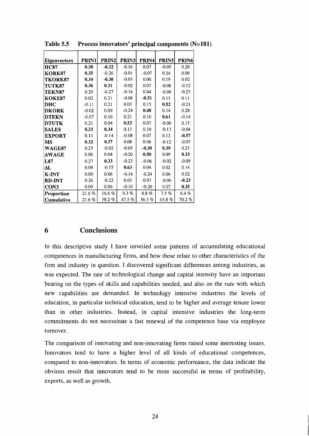| Eigenvectors  | PRIN1   | <b>PRIN2</b> | PRIN3   | PRIN4   | <b>PRIN5</b> | PRIN6   |
|---------------|---------|--------------|---------|---------|--------------|---------|
| <b>HC87</b>   | 0.30    | $-0.32$      | $-0.16$ | 0.07    | $-0.05$      | 0.20    |
| KORK87        | 0.35    | $-0.26$      | $-0.01$ | $-0.07$ | 0.24         | 0.09    |
| TKORK87       | 0.34    | $-0.30$      | $-0.03$ | 0.00    | 0.19         | 0.02    |
| TUTK87        | 0.36    | 0.31         | $-0.02$ | 0.07    | $-0.08$      | $-0.12$ |
| <b>TEKN87</b> | 0.20    | $-0.27$      | $-0.16$ | 0.04    | $-0.06$      | $-0.23$ |
| KOKE87        | 0.02    | 0.21         | $-0.08$ | $-0.51$ | 0.11         | 0.11    |
| DHC           | $-0.11$ | 0.21         | 0.03    | 0.15    | 0.52         | $-0.21$ |
| <b>DKORK</b>  | $-0.02$ | 0.09         | $-0.24$ | 0.48    | 0.14         | 0.28    |
| <b>DTEKN</b>  | $-0.07$ | 0.10         | 0.21    | 0.10    | 0.61         | $-0.14$ |
| <b>DTUTK</b>  | 0.21    | 0.04         | 0.53    | 0.07    | $-0.06$      | 0.15    |
| <b>SALES</b>  | 0.33    | 0.34         | 0.13    | 0.10    | $-0.13$      | $-0.04$ |
| <b>EXPORT</b> | 0.11    | $-0.14$      | $-0.08$ | 0.07    | 0.12         | $-0.57$ |
| MS            | 0.32    | 0.37         | 0.08    | 0.08    | $-0.12$      | $-0.07$ |
| <b>WAGE87</b> | 0.25    | $-0.02$      | $-0.05$ | $-0.30$ | 0.39         | 0.23    |
| <b>AWAGE</b>  | 0.06    | 0.04         | $-0.20$ | 0.50    | 0.09         | 0.33    |
| L87           | 0.27    | 0.33         | $-0.23$ | $-0.06$ | $-0.02$      | $-0.09$ |
| ΔL            | 0.04    | $-0.15$      | 0.63    | 0.04    | 0.02         | 0.14    |
| <b>K-INT</b>  | 0.00    | 0.06         | $-0.16$ | $-0.24$ | 0.06         | 0.02    |
| <b>RD-INT</b> | 0.26    | $-0.22$      | 0.03    | 0.07    | $-0.06$      | $-0.23$ |
| CON3          | 0.09    | 0.06         | $-0.10$ | $-0.20$ | 0.07         | 0.35    |
| Proportion    | 21.6%   | 16.6%        | 9.3%    | $8.8\%$ | 7.5%         | 6.4%    |
| Cumulative    | 21.6%   | 38.2%        | 47.5%   | 56.3%   | 63.8%        | 70.2%   |

**Table 5.5 Process innovators' principal components (N=181)** 

#### **Conclusions**  6

In this descriptive study I have unveiled some patterns of accumulating educational competences in manufacturing firms, and how these relate to other characteristics of the firm and industry in question. I discovered significant differences among industries, as was expected. The rate of technological change and capital intensity have an important bearing on the types of skills and capabilities needed, and also on the *rate* with which new capabilities are demanded. In technology intensive industries the levels of education, in particular technical education, tend to be higher and average tenure lower than in other industries. Instead, in capital intensive industries the long-term commitments do not necessitate a fast renewal of the competence base via employee turnover.

The comparison of innovating and non-innovating firms raised some interesting issues. Innovators tend to have a higher level of all kinds of educational competences, compared to non-innovators. In terms of economic performance, the data indicate the obvious result that innovators tend to be more successful in terms of profitability, exports, as well as growth.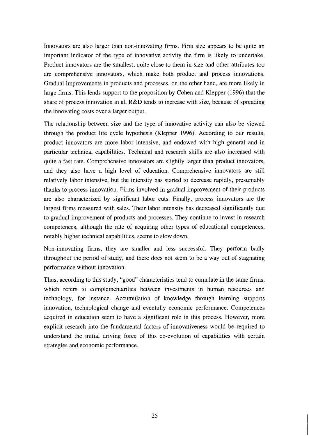Innovators are also larger than non-innovating firms. Firm size appears to be quite an important indicator of the type of innovative activity the firm is likely to undertake. Product innovators are the smallest, quite close to them in size and other attributes too are comprehensive innovators, which make both product and process innovations. Gradual improvements in products and processes, on the other hand, are more likely in large firms. This lends support to the proposition by Cohen and Klepper (1996) that the share of process innovation in all R&D tends to increase with size, because of spreading the innovating costs over a larger output.

The relationship between size and the type of innovative activity can also be viewed through the product life cycle hypothesis (Klepper 1996). According to our results, product innovators are more labor intensive, and endowed with high general and in particular technical capabilities. Technical and research skills are also increased with quite a fast rate. Comprehensive innovators are slightly larger than product innovators, and they also have a high level of education. Comprehensive innovators are still relatively labor intensive, but the intensity has started to decrease rapidly, presumably thanks to process innovation. Firms involved in gradual improvement of their products are also characterized by significant labor cuts. Finally, process innovators are the largest firms measured with sales. Their labor intensity has decreased significantly due to gradual improvement of products and processes. They continue to invest in research competences, although the rate of acquiring other types of educational competences, notably higher technical capabilities, seems to slow down.

Non-innovating firms, they are smaller and less successful. They perform badly throughout the period of study, and there does not seem to be a way out of stagnating performance without innovation.

Thus, according to this study, "good" characteristics tend to cumulate in the same firms, which refers to complementarities between investments in human resources and technology, for instance. Accumulation of knowledge through learning supports innovation, technological change and eventully economic performance. Competences acquired in education seem to have a significant role in this process. However, more explicit research into the fundamental factors of innovativeness would be required to understand the initial driving force of this co-evolution of capabilities with certain strategies and economic performance.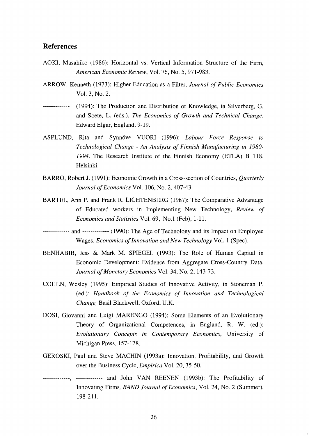## **References**

- AOKI, Masahiko (1986): Horizontal vs. Vertical Information Structure of the Firm, *American Economic Review,* Vol. 76, No. 5, 971-983.
- ARROW, Kenneth (1973): Higher Education as a Filter, *Journal of Public Economics*  Vol. 3, No. 2.
- ------------- (1994): The Production and Distribution of Knowledge, in Silverberg, G. and Soete, L. (eds.), *The Economics of Growth and Technical Change,*  Edward Elgar, England, 9- 19.
- ASPLUND, Rita and Synnove VUORI (1996): *Labour Force Response to Technological Change* - *An Analysis of Finnish Manufacturing in* 1980- 1994. The Research Institute of the Finnish Economy (ETLA) B 118, Helsinki.
- BARRO, Robert J. (1991): Economic Growth in a Cross-section of Countries, *Quarterly Journal of Economics* Vol. 106, No. 2,407-43.
- BARTEL, Ann P. and Frank R. LICHTENBERG (1987): The Comparative Advantage of Educated workers in Implementing New Technology, *Review of Economics and Statistics Vol. 69, No.1 (Feb), 1-11.*
- ------------- and ------------- (1990): The Age of Technology and its Impact on Employee Wages, *Economics of Innovation and New Technology* Vol. 1 (Spec).
- BENHABIB, Jess & Mark M. SPIEGEL (1993): The Role of Human Capital in Economic Development: Evidence from Aggregate Cross-Country Data, *Journal of Monetary Economics* Vol. 34, No. 2, 143-73.
- COHEN, Wesley (1995): Empirical Studies of Innovative Activity, in Stoneman P. (ed.): *Handbook of the Economics of Innovation and Technological Change,* Basil Blackwell, Oxford, U.K.
- DOSI, Giovanni and Luigi MARENGO (1994): Some Elements of an Evolutionary Theory of Organizational Competences, in England, R. W. (ed.): *Evolutionary Concepts in Contemporary Economics,* University of Michigan Press, 157-178.
- GEROSKT, Paul and Steve MACHIN (1993a): Innovation, Profitability, and Growth over the Business Cycle, *Empirica* Vol. 20, 35-50.
- ------------- ------------- , and John VAN REENEN (1993b): The Profitability of Innovating Firms, *RAND Journal of Economics,* Vol. 24, No. 2 (Summer), 198-211.